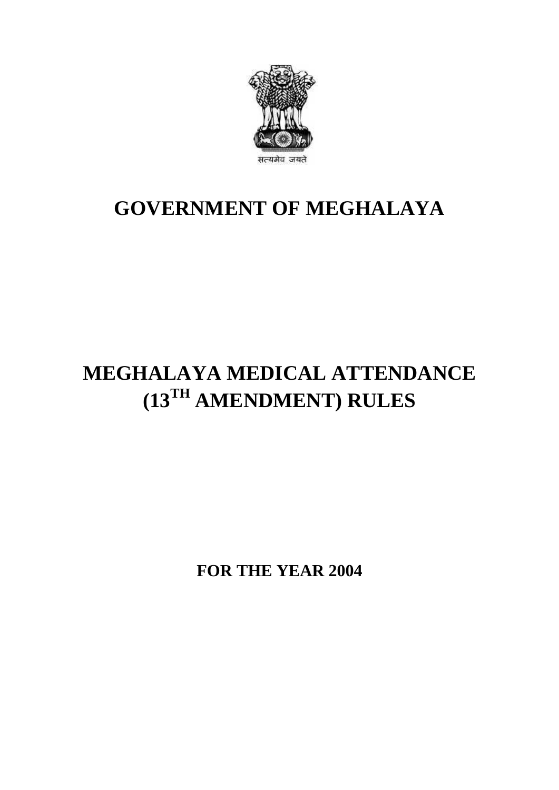

## **GOVERNMENT OF MEGHALAYA**

# **MEGHALAYA MEDICAL ATTENDANCE (13TH AMENDMENT) RULES**

**FOR THE YEAR 2004**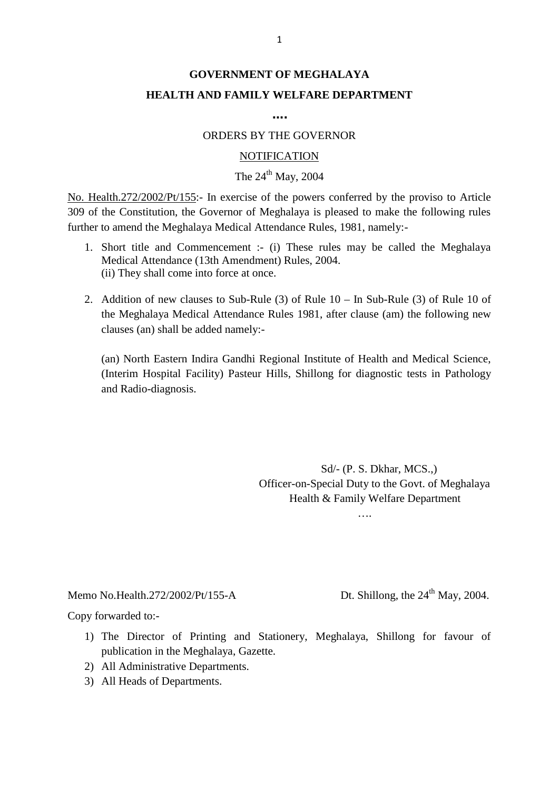## **GOVERNMENT OF MEGHALAYA HEALTH AND FAMILY WELFARE DEPARTMENT**

**….**

#### ORDERS BY THE GOVERNOR

#### **NOTIFICATION**

### The  $24<sup>th</sup>$  May, 2004

ORDERS BY THE GOVERNOR<br>
NOTIFICATION<br>
The 24<sup>th</sup> May, 2004<br>
No. Health.272/2002/Pt/155:- In exercise of the powers conferred by the proviso to Article<br>
309 of the Constitution, the Governor of Meghalaya is pleased to make 309 of the Constitution, the Governor of Meghalaya is pleased to make the following rules further to amend the Meghalaya Medical Attendance Rules, 1981, namely:- 1. Health.272/2002/Pt/155:- In exercise of the powers conferred by the proviso to Article<br>of the Constitution, the Governor of Meghalaya is pleased to make the following rules<br>her to amend the Meghalaya Medical Attendance alth.272/2002/Pt/155:- In exercise of the powers conferm<br>the Constitution, the Governor of Meghalaya is pleased<br>to amend the Meghalaya Medical Attendance Rules, 1981<br>Short title and Commencement :- (i) These rules ma<br>Medic

- (ii) They shall come into force at once. 2. Addition of new clauses to Sub-Rule (3) of Rule 10 – In Sub-Rule (3) of Rule 10 of<br>the Meghalaya Medical Attendance into force at once.<br>2. Addition of new clauses to Sub-Rule (3) of Rule 10 – In Sub-Rule (3) of Rule 10
- Short title and Commencement :- (1) These rules may be called the Meghalaya<br>Medical Attendance (13th Amendment) Rules, 2004.<br>(ii) They shall come into force at once.<br>Addition of new clauses to Sub-Rule (3) of Rule 10 In clauses (an) shall be added namely:- Addition of new clauses to Sub-Rule (3) of Rule 10 – In Sub-Rule (3) of Rule 10 of<br>the Meghalaya Medical Attendance Rules 1981, after clause (am) the following new<br>clauses (an) shall be added namely:-<br>(an) North Eastern In

and Radio-diagnosis.

Sd/- (P. S. Dkhar, MCS.,) Officer-on-Special Duty to the Govt. of Meghalaya Health & Family Welfare Department

….

Memo No.Health.272/2002/Pt/155-A Dt. Shillong, the 24<sup>th</sup> May, 2004.<br>Copy forwarded to:-Memo No.Health.272/2002/Pt/155-A<br>Copy forwarded to:-

- 1) The Director of Printing and Stationery, Meghalaya, Shillong for favour of publication in the Meghalaya, Gazette. publication in the Meghalaya, Gazette. by forwarded to:-<br>2) The Director of Printing and Stap<br>1) The Director of Printing and Stap<br>1) All Administrative Departments.<br>3) All Heads of Departments. by forwarded to:-<br>
1) The Director of Printing<br>
publication in the Meghala<br>
2) All Administrative Depart<br>
3) All Heads of Departments.
- 
-